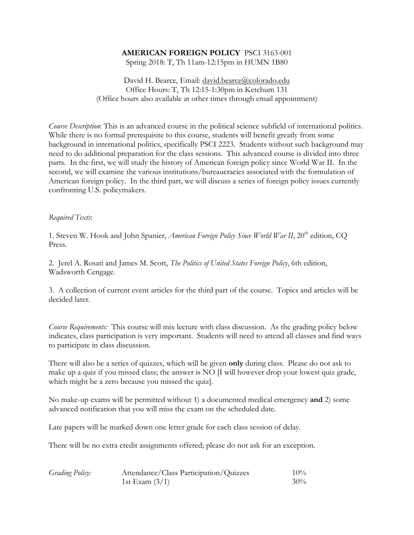# **AMERICAN FOREIGN POLICY** PSCI 3163-001

Spring 2018: T, Th 11am-12:15pm in HUMN 1B80

David H. Bearce, Email: david.bearce@colorado.edu Office Hours: T, Th 12:15-1:30pm in Ketchum 131 (Office hours also available at other times through email appointment)

*Course Description*: This is an advanced course in the political science subfield of international politics. While there is no formal prerequisite to this course, students will benefit greatly from some background in international politics, specifically PSCI 2223. Students without such background may need to do additional preparation for the class sessions. This advanced course is divided into three parts. In the first, we will study the history of American foreign policy since World War II. In the second, we will examine the various institutions/bureaucracies associated with the formulation of American foreign policy. In the third part, we will discuss a series of foreign policy issues currently confronting U.S. policymakers.

### *Required Texts*:

1. Steven W. Hook and John Spanier, *American Foreign Policy Since World War II*, 20<sup>th</sup> edition, CQ Press.

2. Jerel A. Rosati and James M. Scott, *The Politics of United States Foreign Policy*, 6th edition, Wadsworth Cengage.

3. A collection of current event articles for the third part of the course. Topics and articles will be decided later.

*Course Requirements:* This course will mix lecture with class discussion. As the grading policy below indicates, class participation is very important. Students will need to attend all classes and find ways to participate in class discussion.

There will also be a series of quizzes, which will be given **only** during class. Please do not ask to make up a quiz if you missed class; the answer is NO [I will however drop your lowest quiz grade, which might be a zero because you missed the quiz].

No make-up exams will be permitted without 1) a documented medical emergency **and** 2) some advanced notification that you will miss the exam on the scheduled date.

Late papers will be marked down one letter grade for each class session of delay.

There will be no extra credit assignments offered; please do not ask for an exception.

| <b>Grading Policy:</b> | Attendance/Class Participation/Quizzes | $10\%$ |
|------------------------|----------------------------------------|--------|
|                        | 1st Exam $(3/1)$                       | $30\%$ |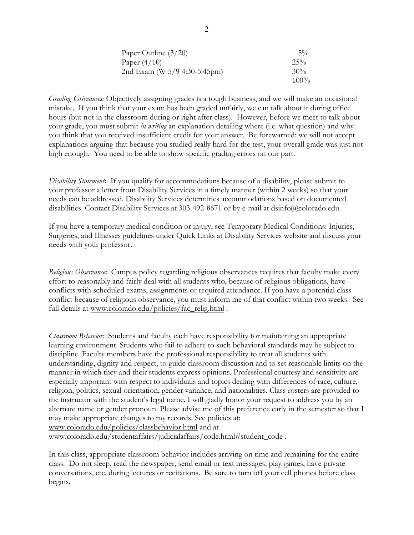| Paper Outline $(3/20)$       | $5\%$   |
|------------------------------|---------|
| Paper $(4/10)$               | $2.5\%$ |
| 2nd Exam (W 5/9 4:30-5:45pm) | 30%     |
|                              | $100\%$ |

*Grading Grievances:* Objectively assigning grades is a tough business, and we will make an occasional mistake. If you think that your exam has been graded unfairly, we can talk about it during office hours (but not in the classroom during or right after class). However, before we meet to talk about your grade, you must submit *in writing* an explanation detailing where (i.e. what question) and why you think that you received insufficient credit for your answer. Be forewarned: we will not accept explanations arguing that because you studied really hard for the test, your overall grade was just not high enough. You need to be able to show specific grading errors on our part.

*Disability Statement***:** If you qualify for accommodations because of a disability, please submit to your professor a letter from Disability Services in a timely manner (within 2 weeks) so that your needs can be addressed. Disability Services determines accommodations based on documented disabilities. Contact Disability Services at 303-492-8671 or by e-mail at dsinfo@colorado.edu.

If you have a temporary medical condition or injury, see Temporary Medical Conditions: Injuries, Surgeries, and Illnesses guidelines under Quick Links at Disability Services website and discuss your needs with your professor.

*Religious Observance***:** Campus policy regarding religious observances requires that faculty make every effort to reasonably and fairly deal with all students who, because of religious obligations, have conflicts with scheduled exams, assignments or required attendance. If you have a potential class conflict because of religious observance, you must inform me of that conflict within two weeks. See full details at www.colorado.edu/policies/fac\_relig.html .

*Classroom Behavior:* Students and faculty each have responsibility for maintaining an appropriate learning environment. Students who fail to adhere to such behavioral standards may be subject to discipline. Faculty members have the professional responsibility to treat all students with understanding, dignity and respect, to guide classroom discussion and to set reasonable limits on the manner in which they and their students express opinions. Professional courtesy and sensitivity are especially important with respect to individuals and topics dealing with differences of race, culture, religion, politics, sexual orientation, gender variance, and nationalities. Class rosters are provided to the instructor with the student's legal name. I will gladly honor your request to address you by an alternate name or gender pronoun. Please advise me of this preference early in the semester so that I may make appropriate changes to my records. See policies at: www.colorado.edu/policies/classbehavior.html and at

www.colorado.edu/studentaffairs/judicialaffairs/code.html#student\_code .

In this class, appropriate classroom behavior includes arriving on time and remaining for the entire class. Do not sleep, read the newspaper, send email or text messages, play games, have private conversations, etc. during lectures or recitations. Be sure to turn off your cell phones before class begins.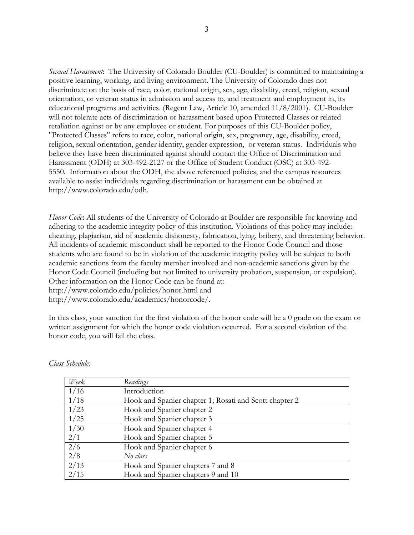*Sexual Harassment*: The University of Colorado Boulder (CU-Boulder) is committed to maintaining a positive learning, working, and living environment. The University of Colorado does not discriminate on the basis of race, color, national origin, sex, age, disability, creed, religion, sexual orientation, or veteran status in admission and access to, and treatment and employment in, its educational programs and activities. (Regent Law, Article 10, amended 11/8/2001). CU-Boulder will not tolerate acts of discrimination or harassment based upon Protected Classes or related retaliation against or by any employee or student. For purposes of this CU-Boulder policy, "Protected Classes" refers to race, color, national origin, sex, pregnancy, age, disability, creed, religion, sexual orientation, gender identity, gender expression, or veteran status. Individuals who believe they have been discriminated against should contact the Office of Discrimination and Harassment (ODH) at 303-492-2127 or the Office of Student Conduct (OSC) at 303-492- 5550. Information about the ODH, the above referenced policies, and the campus resources available to assist individuals regarding discrimination or harassment can be obtained at http://www.colorado.edu/odh.

*Honor Code***:** All students of the University of Colorado at Boulder are responsible for knowing and adhering to the academic integrity policy of this institution. Violations of this policy may include: cheating, plagiarism, aid of academic dishonesty, fabrication, lying, bribery, and threatening behavior. All incidents of academic misconduct shall be reported to the Honor Code Council and those students who are found to be in violation of the academic integrity policy will be subject to both academic sanctions from the faculty member involved and non-academic sanctions given by the Honor Code Council (including but not limited to university probation, suspension, or expulsion). Other information on the Honor Code can be found at: http://www.colorado.edu/policies/honor.html and http://www.colorado.edu/academics/honorcode/.

In this class, your sanction for the first violation of the honor code will be a 0 grade on the exam or written assignment for which the honor code violation occurred. For a second violation of the honor code, you will fail the class.

| Week | Readings                                               |
|------|--------------------------------------------------------|
| 1/16 | Introduction                                           |
| 1/18 | Hook and Spanier chapter 1; Rosati and Scott chapter 2 |
| 1/23 | Hook and Spanier chapter 2                             |
| 1/25 | Hook and Spanier chapter 3                             |
| 1/30 | Hook and Spanier chapter 4                             |
| 2/1  | Hook and Spanier chapter 5                             |
| 2/6  | Hook and Spanier chapter 6                             |
| 2/8  | No class                                               |
| 2/13 | Hook and Spanier chapters 7 and 8                      |
| 2/15 | Hook and Spanier chapters 9 and 10                     |

*Class Schedule:*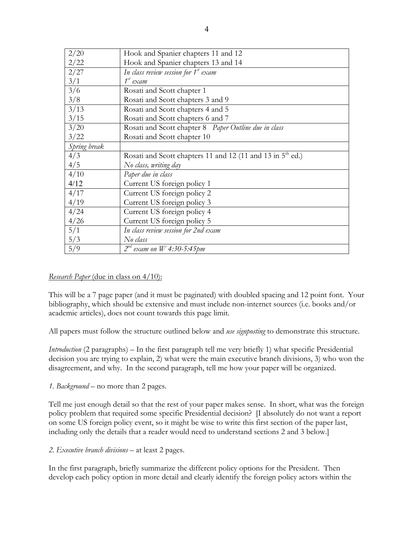| 2/20                     | Hook and Spanier chapters 11 and 12                                    |
|--------------------------|------------------------------------------------------------------------|
| 2/22                     | Hook and Spanier chapters 13 and 14                                    |
| 2/27                     | In class review session for $1^{st}$ exam                              |
| 3/1                      | $1^{st}$ exam                                                          |
| $\overline{\frac{3}{6}}$ | Rosati and Scott chapter 1                                             |
| 3/8                      | Rosati and Scott chapters 3 and 9                                      |
| 3/13                     | Rosati and Scott chapters 4 and 5                                      |
| 3/15                     | Rosati and Scott chapters 6 and 7                                      |
| 3/20                     | Rosati and Scott chapter 8 Paper Outline due in class                  |
| 3/22                     | Rosati and Scott chapter 10                                            |
| Spring break             |                                                                        |
|                          |                                                                        |
| 4/3                      | Rosati and Scott chapters 11 and 12 (11 and 13 in 5 <sup>th</sup> ed.) |
| 4/5                      | No class, writing day                                                  |
| 4/10                     | Paper due in class                                                     |
| 4/12                     | Current US foreign policy 1                                            |
| 4/17                     | Current US foreign policy 2                                            |
| 4/19                     | Current US foreign policy 3                                            |
| 4/24                     | Current US foreign policy 4                                            |
| 4/26                     | Current US foreign policy 5                                            |
| 5/1                      | In class review session for 2nd exam                                   |
| 5/3                      | No class                                                               |

## *Research Paper* (due in class on 4/10):

This will be a 7 page paper (and it must be paginated) with doubled spacing and 12 point font. Your bibliography, which should be extensive and must include non-internet sources (i.e. books and/or academic articles), does not count towards this page limit.

All papers must follow the structure outlined below and *use signposting* to demonstrate this structure.

*Introduction* (2 paragraphs) – In the first paragraph tell me very briefly 1) what specific Presidential decision you are trying to explain, 2) what were the main executive branch divisions, 3) who won the disagreement, and why. In the second paragraph, tell me how your paper will be organized.

#### *1. Background* – no more than 2 pages.

Tell me just enough detail so that the rest of your paper makes sense. In short, what was the foreign policy problem that required some specific Presidential decision? [I absolutely do not want a report on some US foreign policy event, so it might be wise to write this first section of the paper last, including only the details that a reader would need to understand sections 2 and 3 below.]

*2. Executive branch divisions* – at least 2 pages.

In the first paragraph, briefly summarize the different policy options for the President. Then develop each policy option in more detail and clearly identify the foreign policy actors within the